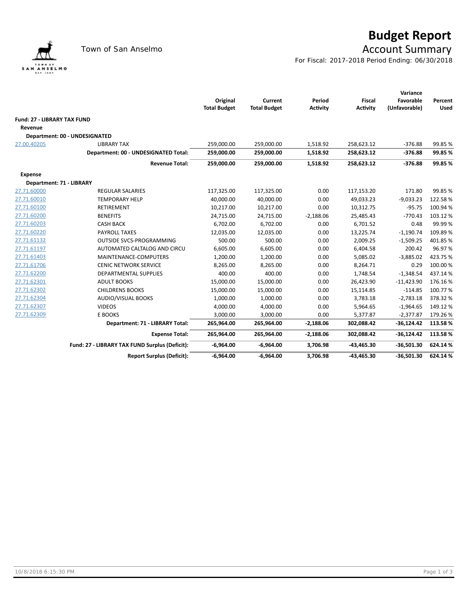

## **Budget Report**

## Town of San Anselmo **Account Summary**

For Fiscal: 2017-2018 Period Ending: 06/30/2018

|                                    |                                                |                     |                     |                 |                 | Variance      |             |
|------------------------------------|------------------------------------------------|---------------------|---------------------|-----------------|-----------------|---------------|-------------|
|                                    |                                                | Original            | Current             | Period          | <b>Fiscal</b>   | Favorable     | Percent     |
|                                    |                                                | <b>Total Budget</b> | <b>Total Budget</b> | <b>Activity</b> | <b>Activity</b> | (Unfavorable) | <b>Used</b> |
| <b>Fund: 27 - LIBRARY TAX FUND</b> |                                                |                     |                     |                 |                 |               |             |
| Revenue                            |                                                |                     |                     |                 |                 |               |             |
|                                    | Department: 00 - UNDESIGNATED                  |                     |                     |                 |                 |               |             |
| 27.00.40205                        | <b>LIBRARY TAX</b>                             | 259,000.00          | 259,000.00          | 1,518.92        | 258,623.12      | $-376.88$     | 99.85%      |
|                                    | Department: 00 - UNDESIGNATED Total:           | 259,000.00          | 259,000.00          | 1,518.92        | 258,623.12      | $-376.88$     | 99.85 %     |
|                                    | <b>Revenue Total:</b>                          | 259,000.00          | 259,000.00          | 1,518.92        | 258,623.12      | $-376.88$     | 99.85%      |
| <b>Expense</b>                     |                                                |                     |                     |                 |                 |               |             |
|                                    | Department: 71 - LIBRARY                       |                     |                     |                 |                 |               |             |
| 27.71.60000                        | <b>REGULAR SALARIES</b>                        | 117,325.00          | 117,325.00          | 0.00            | 117,153.20      | 171.80        | 99.85%      |
| 27.71.60010                        | <b>TEMPORARY HELP</b>                          | 40,000.00           | 40,000.00           | 0.00            | 49,033.23       | $-9,033.23$   | 122.58%     |
| 27.71.60100                        | <b>RETIREMENT</b>                              | 10,217.00           | 10,217.00           | 0.00            | 10,312.75       | $-95.75$      | 100.94 %    |
| 27.71.60200                        | <b>BENEFITS</b>                                | 24,715.00           | 24,715.00           | $-2,188.06$     | 25,485.43       | $-770.43$     | 103.12%     |
| 27.71.60203                        | <b>CASH BACK</b>                               | 6,702.00            | 6,702.00            | 0.00            | 6,701.52        | 0.48          | 99.99%      |
| 27.71.60220                        | <b>PAYROLL TAXES</b>                           | 12,035.00           | 12,035.00           | 0.00            | 13,225.74       | $-1,190.74$   | 109.89%     |
| 27.71.61132                        | <b>OUTSIDE SVCS-PROGRAMMING</b>                | 500.00              | 500.00              | 0.00            | 2,009.25        | $-1,509.25$   | 401.85%     |
| 27.71.61197                        | AUTOMATED CALTALOG AND CIRCU                   | 6,605.00            | 6,605.00            | 0.00            | 6,404.58        | 200.42        | 96.97%      |
| 27.71.61403                        | MAINTENANCE-COMPUTERS                          | 1,200.00            | 1,200.00            | 0.00            | 5,085.02        | $-3,885.02$   | 423.75%     |
| 27.71.61706                        | <b>CENIC NETWORK SERVICE</b>                   | 8,265.00            | 8,265.00            | 0.00            | 8,264.71        | 0.29          | 100.00%     |
| 27.71.62200                        | DEPARTMENTAL SUPPLIES                          | 400.00              | 400.00              | 0.00            | 1,748.54        | $-1,348.54$   | 437.14%     |
| 27.71.62301                        | <b>ADULT BOOKS</b>                             | 15,000.00           | 15,000.00           | 0.00            | 26,423.90       | $-11,423.90$  | 176.16%     |
| 27.71.62302                        | <b>CHILDRENS BOOKS</b>                         | 15,000.00           | 15,000.00           | 0.00            | 15,114.85       | $-114.85$     | 100.77%     |
| 27.71.62304                        | <b>AUDIO/VISUAL BOOKS</b>                      | 1,000.00            | 1,000.00            | 0.00            | 3,783.18        | $-2,783.18$   | 378.32%     |
| 27.71.62307                        | <b>VIDEOS</b>                                  | 4,000.00            | 4,000.00            | 0.00            | 5,964.65        | $-1,964.65$   | 149.12%     |
| 27.71.62309                        | E BOOKS                                        | 3,000.00            | 3,000.00            | 0.00            | 5,377.87        | $-2,377.87$   | 179.26%     |
|                                    | Department: 71 - LIBRARY Total:                | 265,964.00          | 265,964.00          | $-2,188.06$     | 302,088.42      | $-36,124.42$  | 113.58%     |
|                                    | <b>Expense Total:</b>                          | 265,964.00          | 265,964.00          | $-2,188.06$     | 302,088.42      | $-36,124.42$  | 113.58%     |
|                                    | Fund: 27 - LIBRARY TAX FUND Surplus (Deficit): | $-6,964.00$         | $-6,964.00$         | 3,706.98        | -43,465.30      | $-36,501.30$  | 624.14%     |
|                                    | <b>Report Surplus (Deficit):</b>               | $-6,964.00$         | $-6,964.00$         | 3,706.98        | -43,465.30      | $-36,501.30$  | 624.14%     |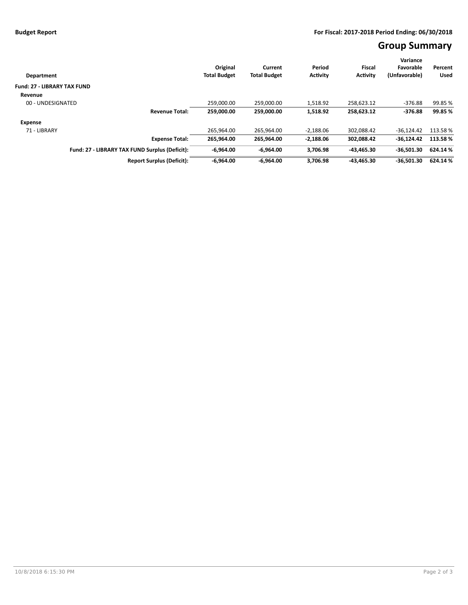## **Group Summary**

|                                    |                                                | Original            | Current             | Period      | <b>Fiscal</b>   | Variance<br>Favorable | Percent     |
|------------------------------------|------------------------------------------------|---------------------|---------------------|-------------|-----------------|-----------------------|-------------|
| Department                         |                                                | <b>Total Budget</b> | <b>Total Budget</b> | Activity    | <b>Activity</b> | (Unfavorable)         | <b>Used</b> |
|                                    |                                                |                     |                     |             |                 |                       |             |
| <b>Fund: 27 - LIBRARY TAX FUND</b> |                                                |                     |                     |             |                 |                       |             |
| Revenue                            |                                                |                     |                     |             |                 |                       |             |
| 00 - UNDESIGNATED                  |                                                | 259.000.00          | 259.000.00          | 1,518.92    | 258.623.12      | $-376.88$             | 99.85 %     |
|                                    | <b>Revenue Total:</b>                          | 259.000.00          | 259.000.00          | 1,518.92    | 258,623.12      | $-376.88$             | 99.85 %     |
| <b>Expense</b>                     |                                                |                     |                     |             |                 |                       |             |
| 71 - LIBRARY                       |                                                | 265.964.00          | 265.964.00          | $-2.188.06$ | 302.088.42      | $-36.124.42$          | 113.58%     |
|                                    | <b>Expense Total:</b>                          | 265.964.00          | 265,964.00          | $-2,188.06$ | 302,088.42      | $-36.124.42$          | 113.58%     |
|                                    | Fund: 27 - LIBRARY TAX FUND Surplus (Deficit): | $-6,964.00$         | $-6.964.00$         | 3.706.98    | -43.465.30      | $-36.501.30$          | 624.14 %    |
|                                    | <b>Report Surplus (Deficit):</b>               | $-6.964.00$         | $-6.964.00$         | 3.706.98    | 43.465.30       | $-36,501.30$          | 624.14 %    |